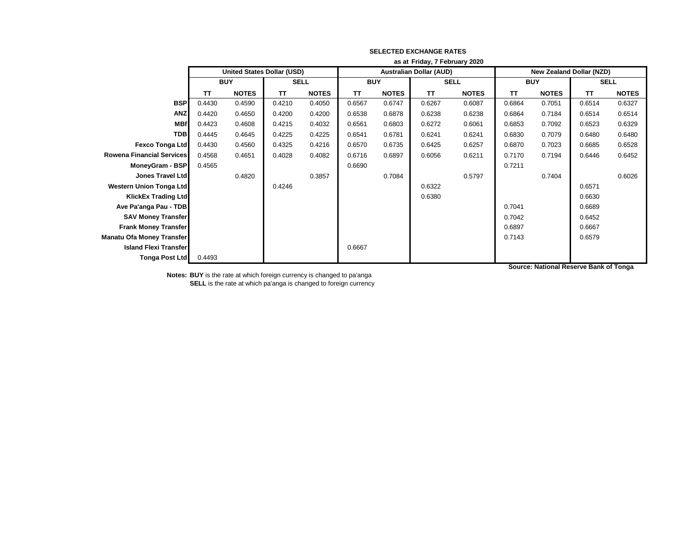|                                  | as at Friday, 7 February 2020 |                                   |        |              |                                |              |        |              |                                 |              |           |              |
|----------------------------------|-------------------------------|-----------------------------------|--------|--------------|--------------------------------|--------------|--------|--------------|---------------------------------|--------------|-----------|--------------|
|                                  |                               | <b>United States Dollar (USD)</b> |        |              | <b>Australian Dollar (AUD)</b> |              |        |              | <b>New Zealand Dollar (NZD)</b> |              |           |              |
|                                  | <b>BUY</b>                    |                                   |        | <b>SELL</b>  |                                | <b>BUY</b>   |        | <b>SELL</b>  |                                 | <b>BUY</b>   |           | <b>SELL</b>  |
|                                  | <b>TT</b>                     | <b>NOTES</b>                      | TT     | <b>NOTES</b> | ΤT                             | <b>NOTES</b> | TΤ     | <b>NOTES</b> | ΤT                              | <b>NOTES</b> | <b>TT</b> | <b>NOTES</b> |
| <b>BSP</b>                       | 0.4430                        | 0.4590                            | 0.4210 | 0.4050       | 0.6567                         | 0.6747       | 0.6267 | 0.6087       | 0.6864                          | 0.7051       | 0.6514    | 0.6327       |
| <b>ANZ</b>                       | 0.4420                        | 0.4650                            | 0.4200 | 0.4200       | 0.6538                         | 0.6878       | 0.6238 | 0.6238       | 0.6864                          | 0.7184       | 0.6514    | 0.6514       |
| <b>MBf</b>                       | 0.4423                        | 0.4608                            | 0.4215 | 0.4032       | 0.6561                         | 0.6803       | 0.6272 | 0.6061       | 0.6853                          | 0.7092       | 0.6523    | 0.6329       |
| <b>TDB</b>                       | 0.4445                        | 0.4645                            | 0.4225 | 0.4225       | 0.6541                         | 0.6781       | 0.6241 | 0.6241       | 0.6830                          | 0.7079       | 0.6480    | 0.6480       |
| Fexco Tonga Ltd                  | 0.4430                        | 0.4560                            | 0.4325 | 0.4216       | 0.6570                         | 0.6735       | 0.6425 | 0.6257       | 0.6870                          | 0.7023       | 0.6685    | 0.6528       |
| <b>Rowena Financial Services</b> | 0.4568                        | 0.4651                            | 0.4028 | 0.4082       | 0.6716                         | 0.6897       | 0.6056 | 0.6211       | 0.7170                          | 0.7194       | 0.6446    | 0.6452       |
| MoneyGram - BSP                  | 0.4565                        |                                   |        |              | 0.6690                         |              |        |              | 0.7211                          |              |           |              |
| Jones Travel Ltd                 |                               | 0.4820                            |        | 0.3857       |                                | 0.7084       |        | 0.5797       |                                 | 0.7404       |           | 0.6026       |
| <b>Western Union Tonga Ltd</b>   |                               |                                   | 0.4246 |              |                                |              | 0.6322 |              |                                 |              | 0.6571    |              |
| <b>KlickEx Trading Ltd</b>       |                               |                                   |        |              |                                |              | 0.6380 |              |                                 |              | 0.6630    |              |
| Ave Pa'anga Pau - TDB            |                               |                                   |        |              |                                |              |        |              | 0.7041                          |              | 0.6689    |              |
| <b>SAV Money Transfer</b>        |                               |                                   |        |              |                                |              |        |              | 0.7042                          |              | 0.6452    |              |
| <b>Frank Money Transfer</b>      |                               |                                   |        |              |                                |              |        |              | 0.6897                          |              | 0.6667    |              |
| Manatu Ofa Money Transfer        |                               |                                   |        |              |                                |              |        |              | 0.7143                          |              | 0.6579    |              |
| <b>Island Flexi Transfer</b>     |                               |                                   |        |              | 0.6667                         |              |        |              |                                 |              |           |              |
| <b>Tonga Post Ltd</b>            | 0.4493                        |                                   |        |              |                                |              |        |              |                                 |              |           |              |

**Source: National Reserve Bank of Tonga**

**Notes: BUY** is the rate at which foreign currency is changed to pa'anga

**SELL** is the rate at which pa'anga is changed to foreign currency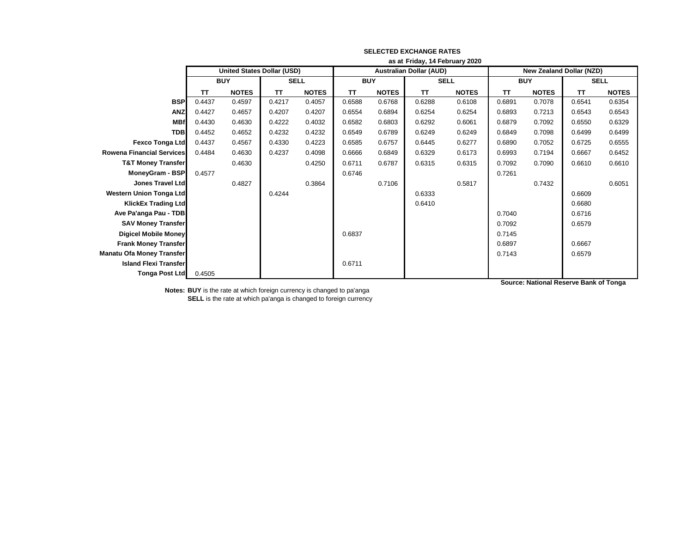|                                  | as at Friday, 14 February 2020    |              |             |              |                                |              |             |              |                                 |              |             |              |
|----------------------------------|-----------------------------------|--------------|-------------|--------------|--------------------------------|--------------|-------------|--------------|---------------------------------|--------------|-------------|--------------|
|                                  | <b>United States Dollar (USD)</b> |              |             |              | <b>Australian Dollar (AUD)</b> |              |             |              | <b>New Zealand Dollar (NZD)</b> |              |             |              |
|                                  | <b>BUY</b>                        |              | <b>SELL</b> |              | <b>BUY</b>                     |              | <b>SELL</b> |              | <b>BUY</b>                      |              | <b>SELL</b> |              |
|                                  | <b>TT</b>                         | <b>NOTES</b> | <b>TT</b>   | <b>NOTES</b> | <b>TT</b>                      | <b>NOTES</b> | <b>TT</b>   | <b>NOTES</b> | <b>TT</b>                       | <b>NOTES</b> | <b>TT</b>   | <b>NOTES</b> |
| <b>BSP</b>                       | 0.4437                            | 0.4597       | 0.4217      | 0.4057       | 0.6588                         | 0.6768       | 0.6288      | 0.6108       | 0.6891                          | 0.7078       | 0.6541      | 0.6354       |
| <b>ANZ</b>                       | 0.4427                            | 0.4657       | 0.4207      | 0.4207       | 0.6554                         | 0.6894       | 0.6254      | 0.6254       | 0.6893                          | 0.7213       | 0.6543      | 0.6543       |
| <b>MBf</b>                       | 0.4430                            | 0.4630       | 0.4222      | 0.4032       | 0.6582                         | 0.6803       | 0.6292      | 0.6061       | 0.6879                          | 0.7092       | 0.6550      | 0.6329       |
| <b>TDB</b>                       | 0.4452                            | 0.4652       | 0.4232      | 0.4232       | 0.6549                         | 0.6789       | 0.6249      | 0.6249       | 0.6849                          | 0.7098       | 0.6499      | 0.6499       |
| <b>Fexco Tonga Ltd</b>           | 0.4437                            | 0.4567       | 0.4330      | 0.4223       | 0.6585                         | 0.6757       | 0.6445      | 0.6277       | 0.6890                          | 0.7052       | 0.6725      | 0.6555       |
| <b>Rowena Financial Services</b> | 0.4484                            | 0.4630       | 0.4237      | 0.4098       | 0.6666                         | 0.6849       | 0.6329      | 0.6173       | 0.6993                          | 0.7194       | 0.6667      | 0.6452       |
| <b>T&amp;T Money Transfer</b>    |                                   | 0.4630       |             | 0.4250       | 0.6711                         | 0.6787       | 0.6315      | 0.6315       | 0.7092                          | 0.7090       | 0.6610      | 0.6610       |
| MoneyGram - BSP                  | 0.4577                            |              |             |              | 0.6746                         |              |             |              | 0.7261                          |              |             |              |
| <b>Jones Travel Ltd</b>          |                                   | 0.4827       |             | 0.3864       |                                | 0.7106       |             | 0.5817       |                                 | 0.7432       |             | 0.6051       |
| <b>Western Union Tonga Ltd</b>   |                                   |              | 0.4244      |              |                                |              | 0.6333      |              |                                 |              | 0.6609      |              |
| <b>KlickEx Trading Ltd</b>       |                                   |              |             |              |                                |              | 0.6410      |              |                                 |              | 0.6680      |              |
| Ave Pa'anga Pau - TDB            |                                   |              |             |              |                                |              |             |              | 0.7040                          |              | 0.6716      |              |
| <b>SAV Money Transfer</b>        |                                   |              |             |              |                                |              |             |              | 0.7092                          |              | 0.6579      |              |
| <b>Digicel Mobile Money</b>      |                                   |              |             |              | 0.6837                         |              |             |              | 0.7145                          |              |             |              |
| <b>Frank Money Transfer</b>      |                                   |              |             |              |                                |              |             |              | 0.6897                          |              | 0.6667      |              |
| <b>Manatu Ofa Money Transfer</b> |                                   |              |             |              |                                |              |             |              | 0.7143                          |              | 0.6579      |              |
| <b>Island Flexi Transfer</b>     |                                   |              |             |              | 0.6711                         |              |             |              |                                 |              |             |              |
| <b>Tonga Post Ltd</b>            | 0.4505                            |              |             |              |                                |              |             |              |                                 |              |             |              |

**Source: National Reserve Bank of Tonga**

**Notes: BUY** is the rate at which foreign currency is changed to pa'anga **SELL** is the rate at which pa'anga is changed to foreign currency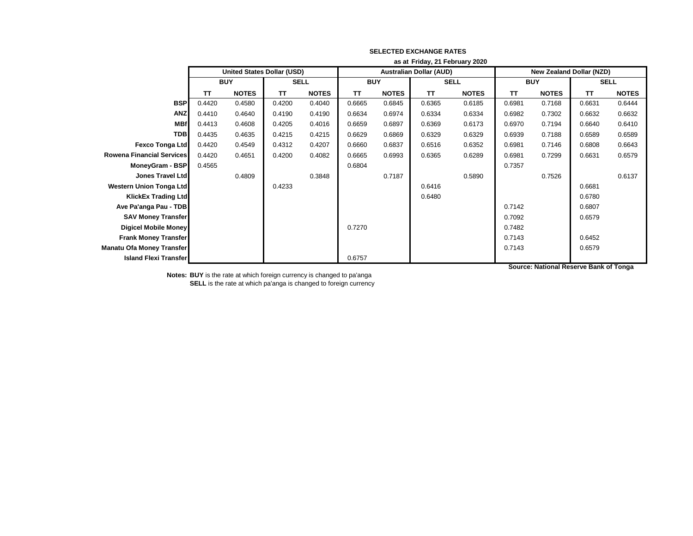|                                  | as at Friday, 21 February 2020    |              |             |              |            |              |                                |              |                                 |              |             |              |
|----------------------------------|-----------------------------------|--------------|-------------|--------------|------------|--------------|--------------------------------|--------------|---------------------------------|--------------|-------------|--------------|
|                                  | <b>United States Dollar (USD)</b> |              |             |              |            |              | <b>Australian Dollar (AUD)</b> |              | <b>New Zealand Dollar (NZD)</b> |              |             |              |
|                                  | <b>BUY</b>                        |              | <b>SELL</b> |              | <b>BUY</b> |              | <b>SELL</b>                    |              | <b>BUY</b>                      |              | <b>SELL</b> |              |
|                                  | <b>TT</b>                         | <b>NOTES</b> | TΤ          | <b>NOTES</b> | TΤ         | <b>NOTES</b> | <b>TT</b>                      | <b>NOTES</b> | TΤ                              | <b>NOTES</b> | <b>TT</b>   | <b>NOTES</b> |
| <b>BSP</b>                       | 0.4420                            | 0.4580       | 0.4200      | 0.4040       | 0.6665     | 0.6845       | 0.6365                         | 0.6185       | 0.6981                          | 0.7168       | 0.6631      | 0.6444       |
| <b>ANZ</b>                       | 0.4410                            | 0.4640       | 0.4190      | 0.4190       | 0.6634     | 0.6974       | 0.6334                         | 0.6334       | 0.6982                          | 0.7302       | 0.6632      | 0.6632       |
| <b>MBf</b>                       | 0.4413                            | 0.4608       | 0.4205      | 0.4016       | 0.6659     | 0.6897       | 0.6369                         | 0.6173       | 0.6970                          | 0.7194       | 0.6640      | 0.6410       |
| <b>TDB</b>                       | 0.4435                            | 0.4635       | 0.4215      | 0.4215       | 0.6629     | 0.6869       | 0.6329                         | 0.6329       | 0.6939                          | 0.7188       | 0.6589      | 0.6589       |
| <b>Fexco Tonga Ltd</b>           | 0.4420                            | 0.4549       | 0.4312      | 0.4207       | 0.6660     | 0.6837       | 0.6516                         | 0.6352       | 0.6981                          | 0.7146       | 0.6808      | 0.6643       |
| <b>Rowena Financial Services</b> | 0.4420                            | 0.4651       | 0.4200      | 0.4082       | 0.6665     | 0.6993       | 0.6365                         | 0.6289       | 0.6981                          | 0.7299       | 0.6631      | 0.6579       |
| MoneyGram - BSP                  | 0.4565                            |              |             |              | 0.6804     |              |                                |              | 0.7357                          |              |             |              |
| <b>Jones Travel Ltd</b>          |                                   | 0.4809       |             | 0.3848       |            | 0.7187       |                                | 0.5890       |                                 | 0.7526       |             | 0.6137       |
| <b>Western Union Tonga Ltd</b>   |                                   |              | 0.4233      |              |            |              | 0.6416                         |              |                                 |              | 0.6681      |              |
| <b>KlickEx Trading Ltd</b>       |                                   |              |             |              |            |              | 0.6480                         |              |                                 |              | 0.6780      |              |
| Ave Pa'anga Pau - TDB            |                                   |              |             |              |            |              |                                |              | 0.7142                          |              | 0.6807      |              |
| <b>SAV Money Transfer</b>        |                                   |              |             |              |            |              |                                |              | 0.7092                          |              | 0.6579      |              |
| <b>Digicel Mobile Money</b>      |                                   |              |             |              | 0.7270     |              |                                |              | 0.7482                          |              |             |              |
| <b>Frank Money Transfer</b>      |                                   |              |             |              |            |              |                                |              | 0.7143                          |              | 0.6452      |              |
| Manatu Ofa Money Transfer        |                                   |              |             |              |            |              |                                |              | 0.7143                          |              | 0.6579      |              |
| <b>Island Flexi Transfer</b>     |                                   |              |             |              | 0.6757     |              |                                |              |                                 |              |             |              |

**Notes: BUY** is the rate at which foreign currency is changed to pa'anga **SELL** is the rate at which pa'anga is changed to foreign currency **Source: National Reserve Bank of Tonga**